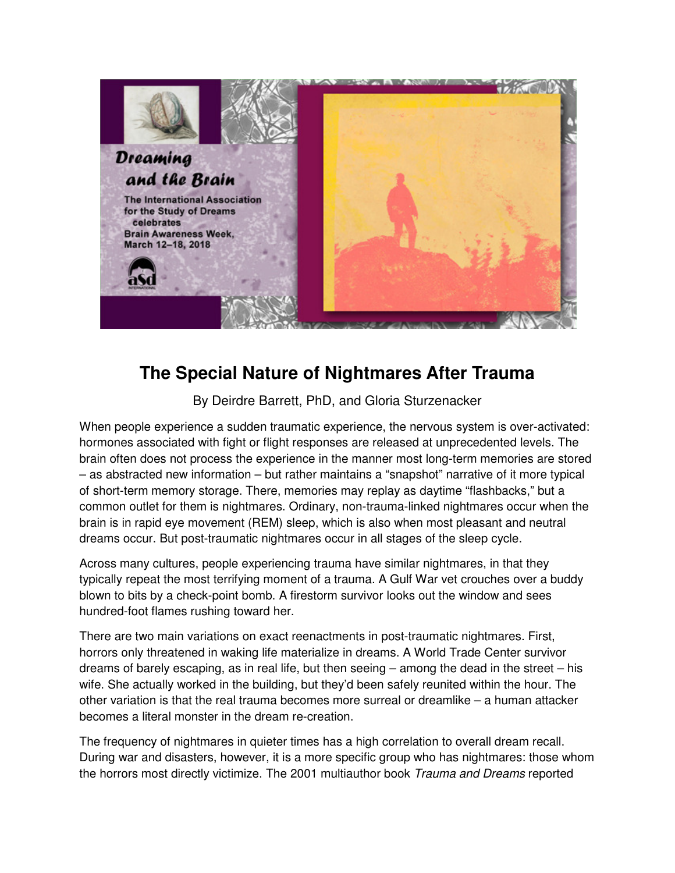

## **The Special Nature of Nightmares After Trauma**

By Deirdre Barrett, PhD, and Gloria Sturzenacker

When people experience a sudden traumatic experience, the nervous system is over-activated: hormones associated with fight or flight responses are released at unprecedented levels. The brain often does not process the experience in the manner most long-term memories are stored – as abstracted new information – but rather maintains a "snapshot" narrative of it more typical of short-term memory storage. There, memories may replay as daytime "flashbacks," but a common outlet for them is nightmares. Ordinary, non-trauma-linked nightmares occur when the brain is in rapid eye movement (REM) sleep, which is also when most pleasant and neutral dreams occur. But post-traumatic nightmares occur in all stages of the sleep cycle.

Across many cultures, people experiencing trauma have similar nightmares, in that they typically repeat the most terrifying moment of a trauma. A Gulf War vet crouches over a buddy blown to bits by a check-point bomb. A firestorm survivor looks out the window and sees hundred-foot flames rushing toward her.

There are two main variations on exact reenactments in post-traumatic nightmares. First, horrors only threatened in waking life materialize in dreams. A World Trade Center survivor dreams of barely escaping, as in real life, but then seeing – among the dead in the street – his wife. She actually worked in the building, but they'd been safely reunited within the hour. The other variation is that the real trauma becomes more surreal or dreamlike – a human attacker becomes a literal monster in the dream re-creation.

The frequency of nightmares in quieter times has a high correlation to overall dream recall. During war and disasters, however, it is a more specific group who has nightmares: those whom the horrors most directly victimize. The 2001 multiauthor book Trauma and Dreams reported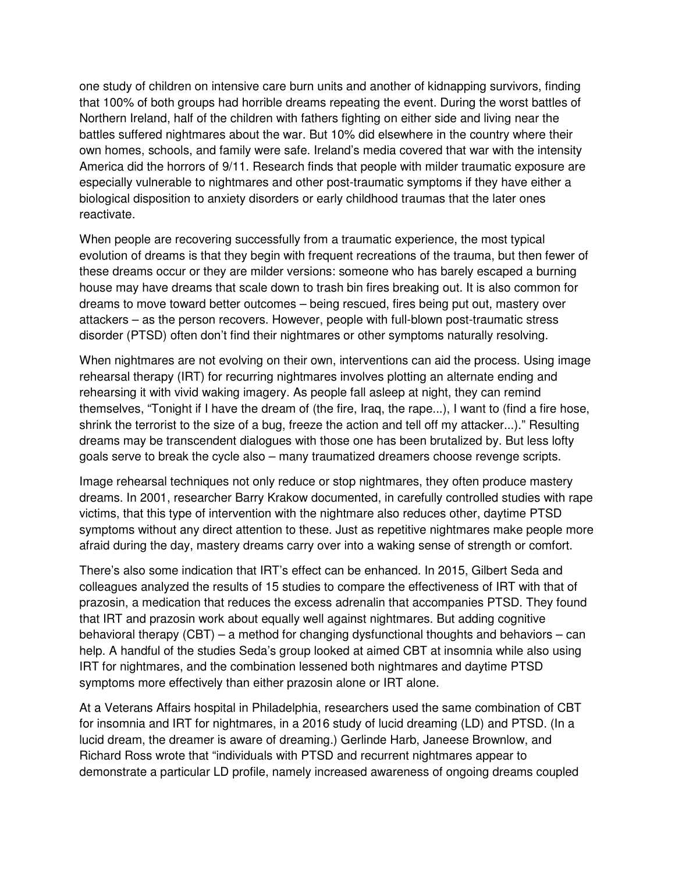one study of children on intensive care burn units and another of kidnapping survivors, finding that 100% of both groups had horrible dreams repeating the event. During the worst battles of Northern Ireland, half of the children with fathers fighting on either side and living near the battles suffered nightmares about the war. But 10% did elsewhere in the country where their own homes, schools, and family were safe. Ireland's media covered that war with the intensity America did the horrors of 9/11. Research finds that people with milder traumatic exposure are especially vulnerable to nightmares and other post-traumatic symptoms if they have either a biological disposition to anxiety disorders or early childhood traumas that the later ones reactivate.

When people are recovering successfully from a traumatic experience, the most typical evolution of dreams is that they begin with frequent recreations of the trauma, but then fewer of these dreams occur or they are milder versions: someone who has barely escaped a burning house may have dreams that scale down to trash bin fires breaking out. It is also common for dreams to move toward better outcomes – being rescued, fires being put out, mastery over attackers – as the person recovers. However, people with full-blown post-traumatic stress disorder (PTSD) often don't find their nightmares or other symptoms naturally resolving.

When nightmares are not evolving on their own, interventions can aid the process. Using image rehearsal therapy (IRT) for recurring nightmares involves plotting an alternate ending and rehearsing it with vivid waking imagery. As people fall asleep at night, they can remind themselves, "Tonight if I have the dream of (the fire, Iraq, the rape...), I want to (find a fire hose, shrink the terrorist to the size of a bug, freeze the action and tell off my attacker...)." Resulting dreams may be transcendent dialogues with those one has been brutalized by. But less lofty goals serve to break the cycle also – many traumatized dreamers choose revenge scripts.

Image rehearsal techniques not only reduce or stop nightmares, they often produce mastery dreams. In 2001, researcher Barry Krakow documented, in carefully controlled studies with rape victims, that this type of intervention with the nightmare also reduces other, daytime PTSD symptoms without any direct attention to these. Just as repetitive nightmares make people more afraid during the day, mastery dreams carry over into a waking sense of strength or comfort.

There's also some indication that IRT's effect can be enhanced. In 2015, Gilbert Seda and colleagues analyzed the results of 15 studies to compare the effectiveness of IRT with that of prazosin, a medication that reduces the excess adrenalin that accompanies PTSD. They found that IRT and prazosin work about equally well against nightmares. But adding cognitive behavioral therapy (CBT) – a method for changing dysfunctional thoughts and behaviors – can help. A handful of the studies Seda's group looked at aimed CBT at insomnia while also using IRT for nightmares, and the combination lessened both nightmares and daytime PTSD symptoms more effectively than either prazosin alone or IRT alone.

At a Veterans Affairs hospital in Philadelphia, researchers used the same combination of CBT for insomnia and IRT for nightmares, in a 2016 study of lucid dreaming (LD) and PTSD. (In a lucid dream, the dreamer is aware of dreaming.) Gerlinde Harb, Janeese Brownlow, and Richard Ross wrote that "individuals with PTSD and recurrent nightmares appear to demonstrate a particular LD profile, namely increased awareness of ongoing dreams coupled